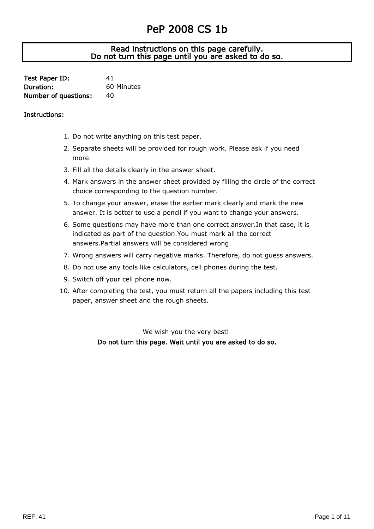## PeP 2008 CS 1b

## J Read instructions on this page carefully. Do not turn this page until you are asked to do so.

| Test Paper ID:       | 41         |
|----------------------|------------|
| Duration:            | 60 Minutes |
| Number of questions: | 40         |

## Instructions:

- 1. Do not write anything on this test paper.
- 2. Separate sheets will be provided for rough work. Please ask if you need more.
- 3. Fill all the details clearly in the answer sheet.
- 4. Mark answers in the answer sheet provided by filling the circle of the correct choice corresponding to the question number.
- 5. To change your answer, erase the earlier mark clearly and mark the new answer. It is better to use a pencil if you want to change your answers.
- 6. Some questions may have more than one correct answer.In that case, it is indicated as part of the question.You must mark all the correct answers.Partial answers will be considered wrong.
- 7. Wrong answers will carry negative marks. Therefore, do not guess answers.
- 8. Do not use any tools like calculators, cell phones during the test.
- 9. Switch off your cell phone now.
- 10. After completing the test, you must return all the papers including this test paper, answer sheet and the rough sheets.

We wish you the very best! Do not turn this page. Wait until you are asked to do so.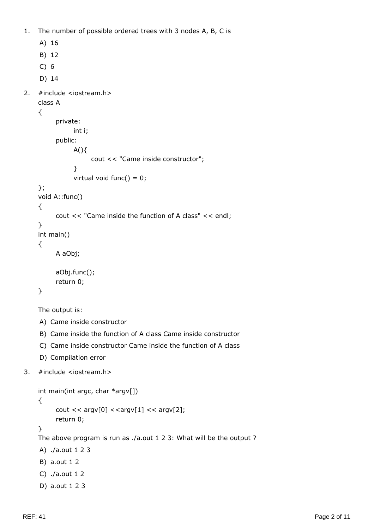1. The number of possible ordered trees with 3 nodes A, B, C is

```
A) 16
    B) 12
    C) 6
    D) 14
2. #include <iostream.h>
    class A
    {
          private:
                int i;
          public:
               A() cout << "Came inside constructor";
                }
               virtual void func() = 0;
    };
    void A::func()
    {
           cout << "Came inside the function of A class" << endl;
    }
    int main()
    {
          A aObj;
           aObj.func();
           return 0;
    }
    The output is:
    A) Came inside constructor
     B) Came inside the function of A class Came inside constructor
    C) Came inside constructor Came inside the function of A class
     D) Compilation error
3. #include <iostream.h>
```

```
int main(int argc, char *argv[])
{
     cout << argv[0]<argv[1]< << argv[2];
      return 0;
}
The above program is run as ./a.out 1 2 3: What will be the output ?
A) ./a.out 1 2 3
B) a.out 1 2
C) ./a.out 1 2
D) a.out 1 2 3
```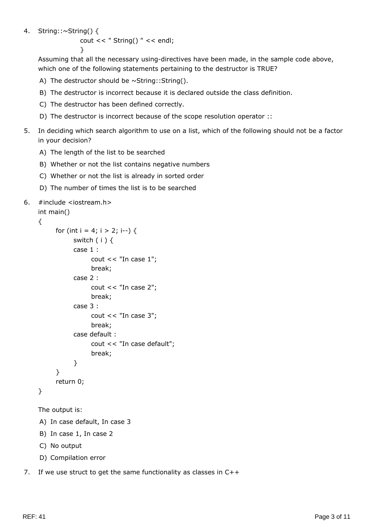## 4. String::~String() {

```
cout << " String() " << endl;
```
}

Assuming that all the necessary using-directives have been made, in the sample code above, which one of the following statements pertaining to the destructor is TRUE?

- A) The destructor should be  $\sim$  String:: String().
- B) The destructor is incorrect because it is declared outside the class definition.
- C) The destructor has been defined correctly.
- D) The destructor is incorrect because of the scope resolution operator ::
- 5. In deciding which search algorithm to use on a list, which of the following should not be a factor in your decision?
	- A) The length of the list to be searched
	- B) Whether or not the list contains negative numbers
	- C) Whether or not the list is already in sorted order
	- D) The number of times the list is to be searched

```
6. #include <iostream.h>
```

```
int main()
{
     for (int i = 4; i > 2; i--) {
           switch (i) {
            case 1 :
                  cout << "In case 1";
                   break;
             case 2 :
                  cout << "In case 2";
                   break;
             case 3 :
                  cout << "In case 3";
                   break;
             case default :
                   cout << "In case default";
                   break;
             }
       }
      return 0;
}
```

```
The output is:
```
A) In case default, In case 3

- B) In case 1, In case 2
- C) No output
- D) Compilation error
- 7. If we use struct to get the same functionality as classes in C++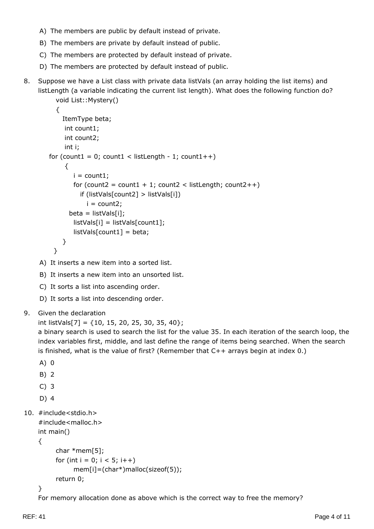- A) The members are public by default instead of private.
- B) The members are private by default instead of public.
- C) The members are protected by default instead of private.
- D) The members are protected by default instead of public.
- 8. Suppose we have a List class with private data listVals (an array holding the list items) and listLength (a variable indicating the current list length). What does the following function do?

```
 void List::Mystery()
   {
     ItemType beta;
      int count1;
      int count2;
      int i;
for (count1 = 0; count1 < listLength - 1; count1++)
      {
       i = count1;for (count2 = count1 + 1; count2 < listLength; count2++)
           if (listVals[count2] > listVals[i])
            i = count2;beta = listVals[i]; listVals[i] = listVals[count1];
         listVals[count1] = beta;
     }
  }
```
A) It inserts a new item into a sorted list.

- B) It inserts a new item into an unsorted list.
- C) It sorts a list into ascending order.
- D) It sorts a list into descending order.
- 9. Given the declaration

```
int listVals[7] = \{10, 15, 20, 25, 30, 35, 40\};
```
a binary search is used to search the list for the value 35. In each iteration of the search loop, the index variables first, middle, and last define the range of items being searched. When the search is finished, what is the value of first? (Remember that C++ arrays begin at index 0.)

```
A) 0
```
- B) 2
- C) 3
- D) 4

```
10. #include<stdio.h>
```

```
#include<malloc.h>
int main()
{
      char *mem[5];
     for (int i = 0; i < 5; i++)
            mem[i]=(char*)malloc(sizeof(5));
      return 0;
```
}

For memory allocation done as above which is the correct way to free the memory?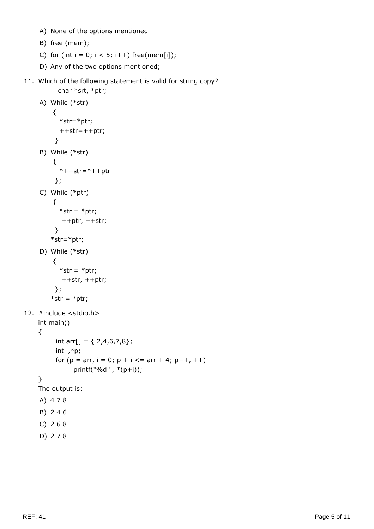- A) None of the options mentioned
- B) free (mem);
- C) for (int  $i = 0$ ;  $i < 5$ ;  $i++$ ) free(mem[i]);
- D) Any of the two options mentioned;

```
11. Which of the following statement is valid for string copy?
           char *srt, *ptr;
```

```
A) While (*str)
          {
            *str=*ptr;
            ++str=++ptr;
           }
     B) While (*str)
          {
           *++str=*++ptr
          };
    C) While (*ptr)
          {
           *str = *ptr; ++ptr, ++str;
          }
        *str=*ptr;
     D) While (*str)
          {
           *str = *ptr; ++str, ++ptr;
          };
        *str = *ptr;
12. #include <stdio.h>
    int main()
    {
          int arr[] = \{ 2,4,6,7,8\}; int i,*p;
          for (p = arr, i = 0; p + i \leq arr + 4; p++, i++) printf("%d ", *(p+i));
    }
    The output is:
    A) 4 7 8
    B) 2 4 6
    C) 2 6 8
```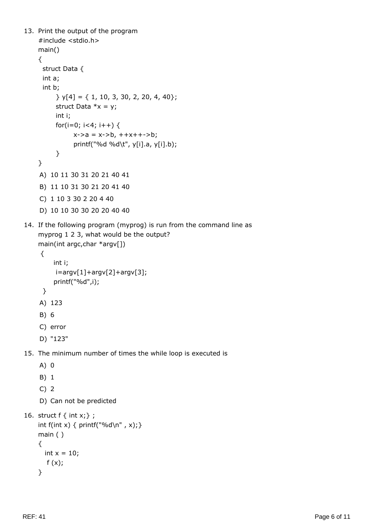```
13. Print the output of the program
    #include <stdio.h>
    main()
    {
      struct Data {
      int a;
      int b;
           } y[4] = { 1, 10, 3, 30, 2, 20, 4, 40};
          struct Data *x = y;
          int i;
         for(i=0; i<4; i++) {
               x - > a = x - > b, + +x + + -> b; printf("%d %d\t", y[i].a, y[i].b);
           }
    }
    A) 10 11 30 31 20 21 40 41
    B) 11 10 31 30 21 20 41 40
    C) 1 10 3 30 2 20 4 40
    D) 10 10 30 30 20 20 40 40
14. If the following program (myprog) is run from the command line as
    myprog 1 2 3, what would be the output?
    main(int argc,char *argv[])
      {
          int i;
          i=argv[1]+argv[2]+argv[3];
          printf("%d",i);
      }
    A) 123
    B) 6
    C) error
    D) "123"
15. The minimum number of times the while loop is executed is
    A) 0
    B) 1
    C) 2
    D) Can not be predicted
16. struct f \{ int x; \};
    int f(int x) { printf("%d\n", x);}
    main ( )
    {
      int x = 10;
       f(x);}
```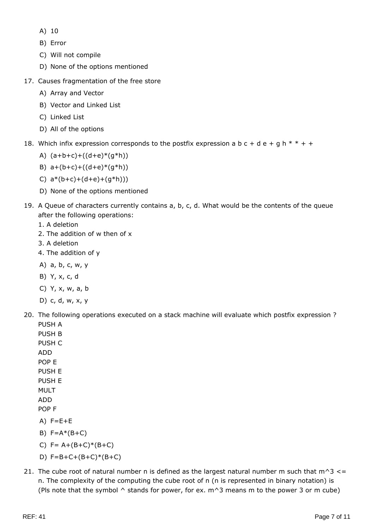- A) 10
- B) Error
- C) Will not compile
- D) None of the options mentioned
- 17. Causes fragmentation of the free store
	- A) Array and Vector
	- B) Vector and Linked List
	- C) Linked List
	- D) All of the options
- 18. Which infix expression corresponds to the postfix expression a b  $c + d e + g h * * + +$ 
	- A)  $(a+b+c)+((d+e)*(g*h))$
	- B)  $a+(b+c)+((d+e)*(g*h))$
	- C)  $a*(b+c)+(d+e)+(q*h))$
	- D) None of the options mentioned
- 19. A Queue of characters currently contains a, b, c, d. What would be the contents of the queue after the following operations:
	- 1. A deletion
	- 2. The addition of w then of x
	- 3. A deletion
	- 4. The addition of y
	- A) a, b, c, w, y
	- B) Y, x, c, d
	- C) Y, x, w, a, b
	- D) c, d, w, x, y
- 20. The following operations executed on a stack machine will evaluate which postfix expression ? PUSH A
	- PUSH B PUSH C ADD POP E PUSH E PUSH E MULT ADD POP F  $A)$  F=E+E
	- B)  $F=A*(B+C)$
	- C)  $F = A + (B + C)^*(B + C)$
	- D)  $F=B+C+(B+C)*(B+C)$
- 21. The cube root of natural number n is defined as the largest natural number m such that  $m^3$  <= n. The complexity of the computing the cube root of n (n is represented in binary notation) is (Pls note that the symbol  $\wedge$  stands for power, for ex.  $m^2$  means m to the power 3 or m cube)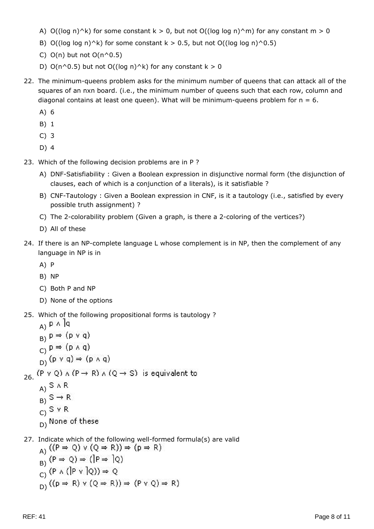- A) O((log n)^k) for some constant k > 0, but not O((log log n)^m) for any constant m > 0
- B) O((log log n)^k) for some constant  $k > 0.5$ , but not O((log log n)^0.5)
- C)  $O(n)$  but not  $O(n^0.5)$
- D)  $O(n^0.5)$  but not  $O((\log n)^{k})$  for any constant k > 0
- 22. The minimum-queens problem asks for the minimum number of queens that can attack all of the squares of an nxn board. (i.e., the minimum number of queens such that each row, column and diagonal contains at least one queen). What will be minimum-queens problem for  $n = 6$ .
	- A) 6
	- B) 1
	- C) 3
	- D) 4
- 23. Which of the following decision problems are in P ?
	- A) DNF-Satisfiability : Given a Boolean expression in disjunctive normal form (the disjunction of clauses, each of which is a conjunction of a literals), is it satisfiable ?
	- B) CNF-Tautology : Given a Boolean expression in CNF, is it a tautology (i.e., satisfied by every possible truth assignment) ?
	- C) The 2-colorability problem (Given a graph, is there a 2-coloring of the vertices?)
	- D) All of these
- 24. If there is an NP-complete language L whose complement is in NP, then the complement of any language in NP is in
	- A) P
	- B) NP
	- C) Both P and NP
	- D) None of the options
- 25. Which of the following propositional forms is tautology ?
	- $_A$ )  $P \wedge |q$  $B) P \Rightarrow (P \vee q)$
	- $C) P \Rightarrow (P \land q)$
	- $(D)$  (p v q)  $\Rightarrow$  (p  $\land$  q)

26.  $(P \vee Q) \wedge (P \rightarrow R) \wedge (Q \rightarrow S)$  is equivalent to

- $A)$  S  $A$  R
- $B)$  S  $\rightarrow$  R
- $C)$  S v R
- D) None of these
- 27. Indicate which of the following well-formed formula(s) are valid<br> $(fP \Rightarrow \Omega) \vee (Q \Rightarrow R) \Rightarrow (R \Rightarrow R)$

A) 
$$
(P \rightarrow Q) \times (Q \rightarrow R) \rightarrow (P \rightarrow R)
$$
\nB)  $(P \Rightarrow Q) \Rightarrow (|P \Rightarrow |Q)$ \nC)  $(P \land (|P \lor |Q)) \Rightarrow Q$ \nD)  $((P \Rightarrow R) \lor (Q \Rightarrow R)) \Rightarrow (P \lor Q) \Rightarrow R)$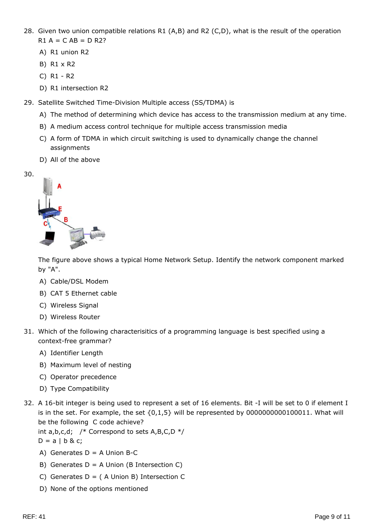- 28. Given two union compatible relations R1 (A,B) and R2 (C,D), what is the result of the operation  $R1 A = C AB = D R2?$ 
	- A) R1 union R2
	- B) R1 x R2
	- C) R1 R2
	- D) R1 intersection R2
- 29. Satellite Switched Time-Division Multiple access (SS/TDMA) is
	- A) The method of determining which device has access to the transmission medium at any time.
	- B) A medium access control technique for multiple access transmission media
	- C) A form of TDMA in which circuit switching is used to dynamically change the channel assignments
	- D) All of the above





The figure above shows a typical Home Network Setup. Identify the network component marked by "A".

- A) Cable/DSL Modem
- B) CAT 5 Ethernet cable
- C) Wireless Signal
- D) Wireless Router
- 31. Which of the following characterisitics of a programming language is best specified using a context-free grammar?
	- A) Identifier Length
	- B) Maximum level of nesting
	- C) Operator precedence
	- D) Type Compatibility
- 32. A 16-bit integer is being used to represent a set of 16 elements. Bit -I will be set to 0 if element I is in the set. For example, the set  ${0,1,5}$  will be represented by 0000000000100011. What will be the following C code achieve?

int  $a,b,c,d$ ; /\* Correspond to sets  $A,B,C,D$  \*/

- $D = a \mid b \& c;$
- A) Generates  $D = A$  Union B-C
- B) Generates  $D = A$  Union (B Intersection C)
- C) Generates  $D = (A$  Union B) Intersection C
- D) None of the options mentioned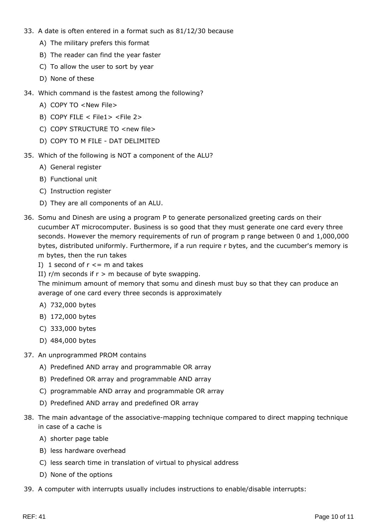- 33. A date is often entered in a format such as 81/12/30 because
	- A) The military prefers this format
	- B) The reader can find the year faster
	- C) To allow the user to sort by year
	- D) None of these
- 34. Which command is the fastest among the following?
	- A) COPY TO <New File>
	- B) COPY FILE < File1> <File 2>
	- C) COPY STRUCTURE TO <new file>
	- D) COPY TO M FILE DAT DELIMITED
- 35. Which of the following is NOT a component of the ALU?
	- A) General register
	- B) Functional unit
	- C) Instruction register
	- D) They are all components of an ALU.
- 36. Somu and Dinesh are using a program P to generate personalized greeting cards on their cucumber AT microcomputer. Business is so good that they must generate one card every three seconds. However the memory requirements of run of program p range between 0 and 1,000,000 bytes, distributed uniformly. Furthermore, if a run require r bytes, and the cucumber's memory is m bytes, then the run takes
	- I) 1 second of  $r \leq m$  and takes
	- II)  $r/m$  seconds if  $r > m$  because of byte swapping.

The minimum amount of memory that somu and dinesh must buy so that they can produce an average of one card every three seconds is approximately

- A) 732,000 bytes
- B) 172,000 bytes
- C) 333,000 bytes
- D) 484,000 bytes
- 37. An unprogrammed PROM contains
	- A) Predefined AND array and programmable OR array
	- B) Predefined OR array and programmable AND array
	- C) programmable AND array and programmable OR array
	- D) Predefined AND array and predefined OR array
- 38. The main advantage of the associative-mapping technique compared to direct mapping technique in case of a cache is
	- A) shorter page table
	- B) less hardware overhead
	- C) less search time in translation of virtual to physical address
	- D) None of the options
- 39. A computer with interrupts usually includes instructions to enable/disable interrupts: